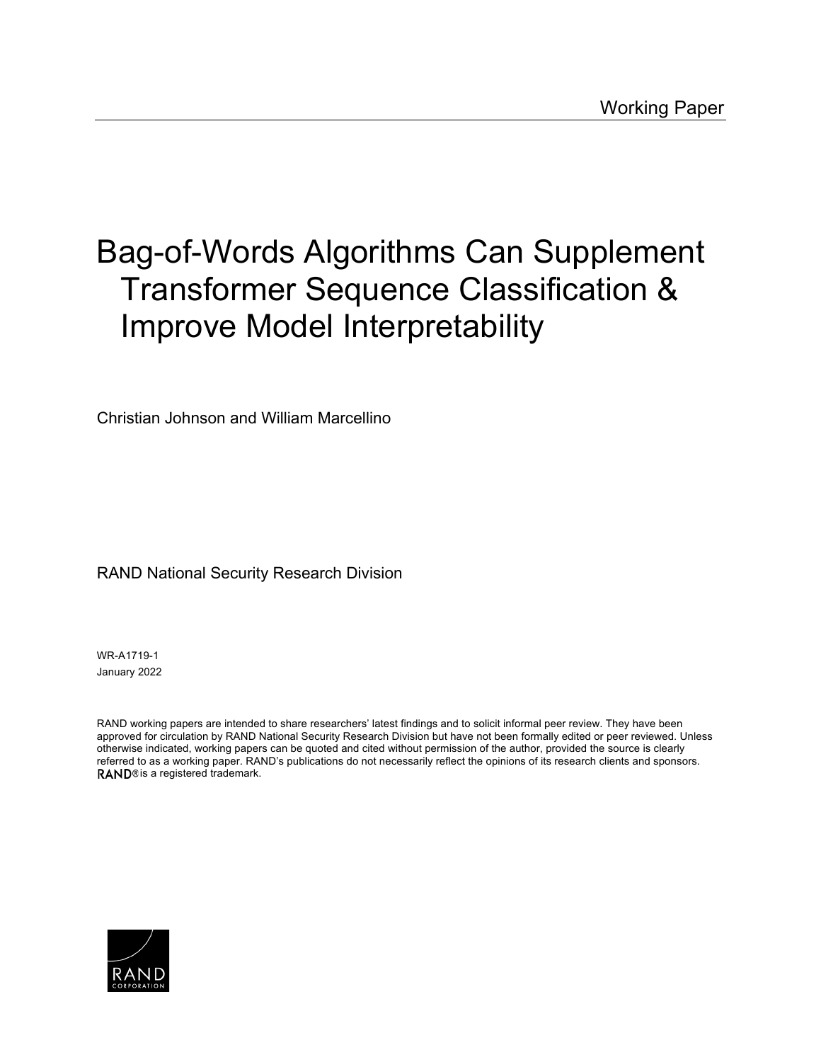# [Bag-of-Words Algorithms Can Supplement](https://www.rand.org/pubs/working_papers/WRA1719-1.html)  Transformer Sequence Classification & Improve Model Interpretability

Christian Johnson and William Marcellino

### RAND National Security Research Division

WR-A1719-1 January 2022

RAND working papers are intended to share researchers' latest findings and to solicit informal peer review. They have been approved for circulation by RAND National Security Research Division but have not been formally edited or peer reviewed. Unless otherwise indicated, working papers can be quoted and cited without permission of the author, provided the source is clearly referred to as a working paper. RAND's publications do not necessarily reflect the opinions of its research clients and sponsors. RAND® is a registered trademark.

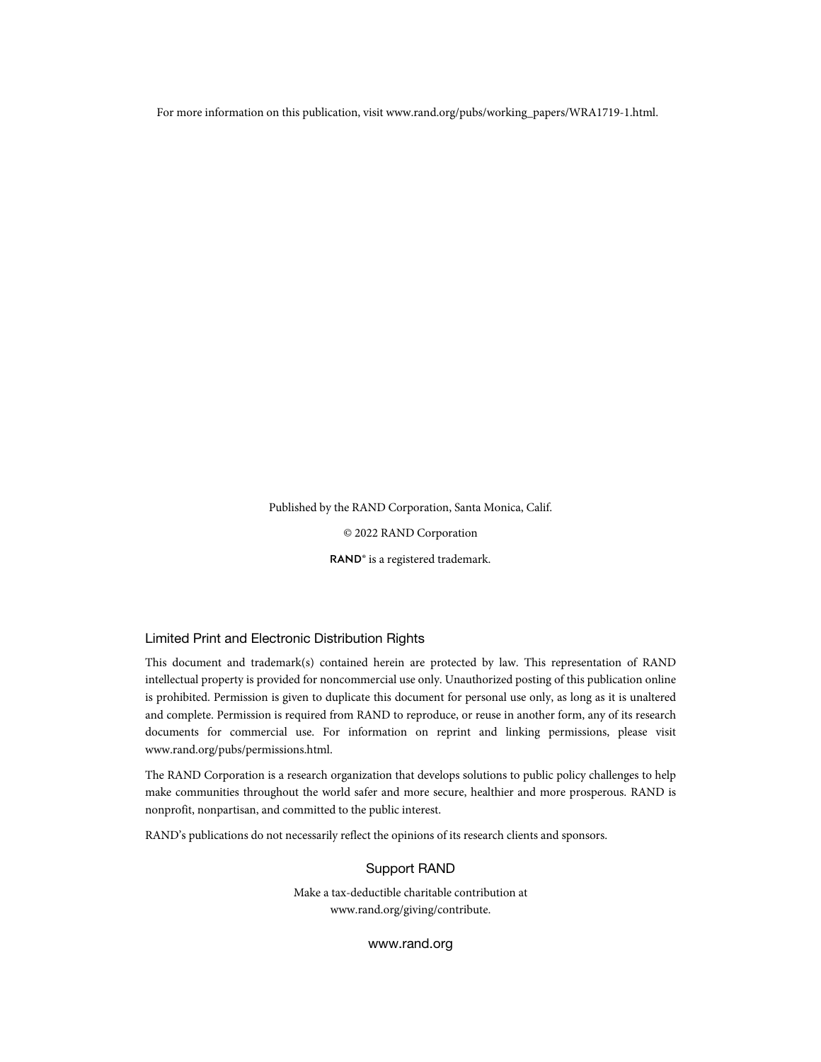For more information on this publication, visit [www.rand.org/pubs/working\\_papers/WRA1719-1.html](http://www.rand.org/pubs/working_papers/WRA1719-1.html).

Published by the RAND Corporation, Santa Monica, Calif.

© 2022 RAND Corporation

RAND<sup>®</sup> is a registered trademark.

#### Limited Print and Electronic Distribution Rights

This document and trademark(s) contained herein are protected by law. This representation of RAND intellectual property is provided for noncommercial use only. Unauthorized posting of this publication online is prohibited. Permission is given to duplicate this document for personal use only, as long as it is unaltered and complete. Permission is required from RAND to reproduce, or reuse in another form, any of its research documents for commercial use. For information on reprint and linking permissions, please visit [www.rand.org/pubs/permissions.html](http://www.rand.org/pubs/permissions.html).

The RAND Corporation is a research organization that develops solutions to public policy challenges to help make communities throughout the world safer and more secure, healthier and more prosperous. RAND is nonprofit, nonpartisan, and committed to the public interest.

RAND's publications do not necessarily reflect the opinions of its research clients and sponsors.

#### Support RAND

Make a tax-deductible charitable contribution at [www.rand.org/giving/contribute.](http://www.rand.org/giving/contribute)

[www.rand.org](http://www.rand.org)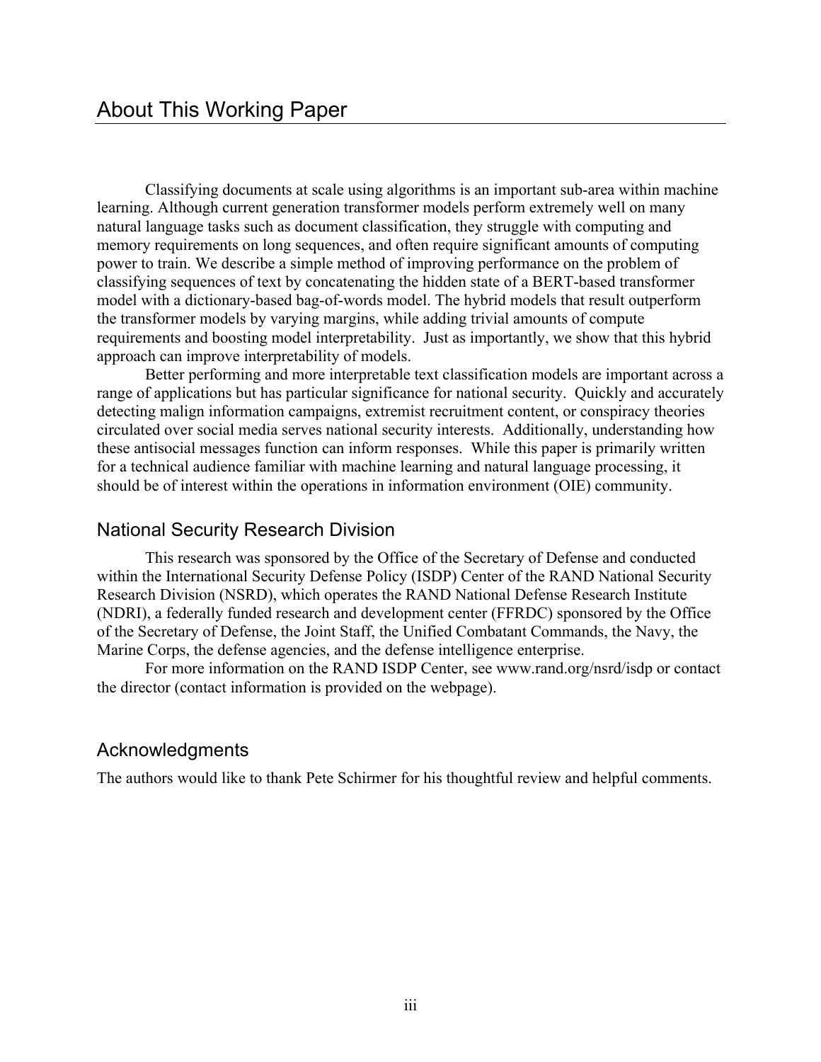Classifying documents at scale using algorithms is an important sub-area within machine learning. Although current generation transformer models perform extremely well on many natural language tasks such as document classification, they struggle with computing and memory requirements on long sequences, and often require significant amounts of computing power to train. We describe a simple method of improving performance on the problem of classifying sequences of text by concatenating the hidden state of a BERT-based transformer model with a dictionary-based bag-of-words model. The hybrid models that result outperform the transformer models by varying margins, while adding trivial amounts of compute requirements and boosting model interpretability. Just as importantly, we show that this hybrid approach can improve interpretability of models.

Better performing and more interpretable text classification models are important across a range of applications but has particular significance for national security. Quickly and accurately detecting malign information campaigns, extremist recruitment content, or conspiracy theories circulated over social media serves national security interests. Additionally, understanding how these antisocial messages function can inform responses. While this paper is primarily written for a technical audience familiar with machine learning and natural language processing, it should be of interest within the operations in information environment (OIE) community.

### National Security Research Division

This research was sponsored by the Office of the Secretary of Defense and conducted within the International Security Defense Policy (ISDP) Center of the RAND National Security Research Division (NSRD), which operates the RAND National Defense Research Institute (NDRI), a federally funded research and development center (FFRDC) sponsored by the Office of the Secretary of Defense, the Joint Staff, the Unified Combatant Commands, the Navy, the Marine Corps, the defense agencies, and the defense intelligence enterprise.

For more information on the RAND ISDP Center, see [www.rand.org/nsrd/isdp](http://www.rand.org/nsrd/isdp) or contact the director (contact information is provided on the webpage).

### Acknowledgments

The authors would like to thank Pete Schirmer for his thoughtful review and helpful comments.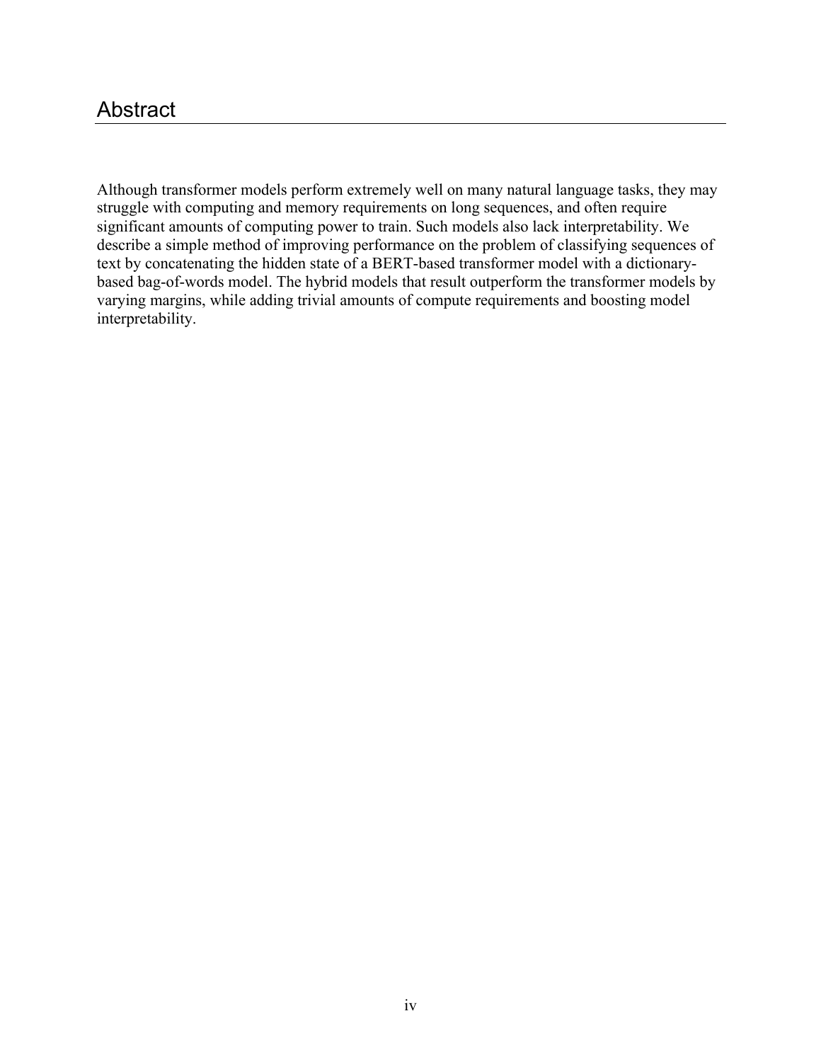### Abstract

Although transformer models perform extremely well on many natural language tasks, they may struggle with computing and memory requirements on long sequences, and often require significant amounts of computing power to train. Such models also lack interpretability. We describe a simple method of improving performance on the problem of classifying sequences of text by concatenating the hidden state of a BERT-based transformer model with a dictionarybased bag-of-words model. The hybrid models that result outperform the transformer models by varying margins, while adding trivial amounts of compute requirements and boosting model interpretability.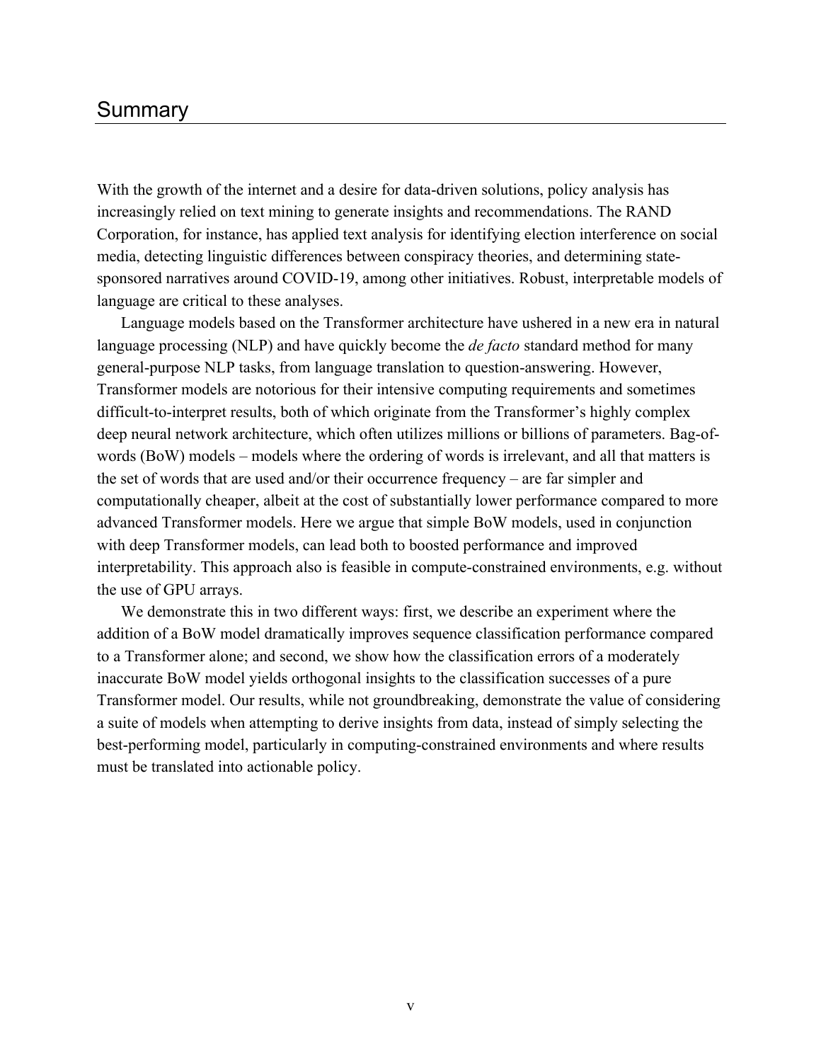### Summary

With the growth of the internet and a desire for data-driven solutions, policy analysis has increasingly relied on text mining to generate insights and recommendations. The RAND Corporation, for instance, has applied text analysis for identifying election interference on social media, detecting linguistic differences between conspiracy theories, and determining statesponsored narratives around COVID-19, among other initiatives. Robust, interpretable models of language are critical to these analyses.

Language models based on the Transformer architecture have ushered in a new era in natural language processing (NLP) and have quickly become the *de facto* standard method for many general-purpose NLP tasks, from language translation to question-answering. However, Transformer models are notorious for their intensive computing requirements and sometimes difficult-to-interpret results, both of which originate from the Transformer's highly complex deep neural network architecture, which often utilizes millions or billions of parameters. Bag-ofwords (BoW) models – models where the ordering of words is irrelevant, and all that matters is the set of words that are used and/or their occurrence frequency – are far simpler and computationally cheaper, albeit at the cost of substantially lower performance compared to more advanced Transformer models. Here we argue that simple BoW models, used in conjunction with deep Transformer models, can lead both to boosted performance and improved interpretability. This approach also is feasible in compute-constrained environments, e.g. without the use of GPU arrays.

We demonstrate this in two different ways: first, we describe an experiment where the addition of a BoW model dramatically improves sequence classification performance compared to a Transformer alone; and second, we show how the classification errors of a moderately inaccurate BoW model yields orthogonal insights to the classification successes of a pure Transformer model. Our results, while not groundbreaking, demonstrate the value of considering a suite of models when attempting to derive insights from data, instead of simply selecting the best-performing model, particularly in computing-constrained environments and where results must be translated into actionable policy.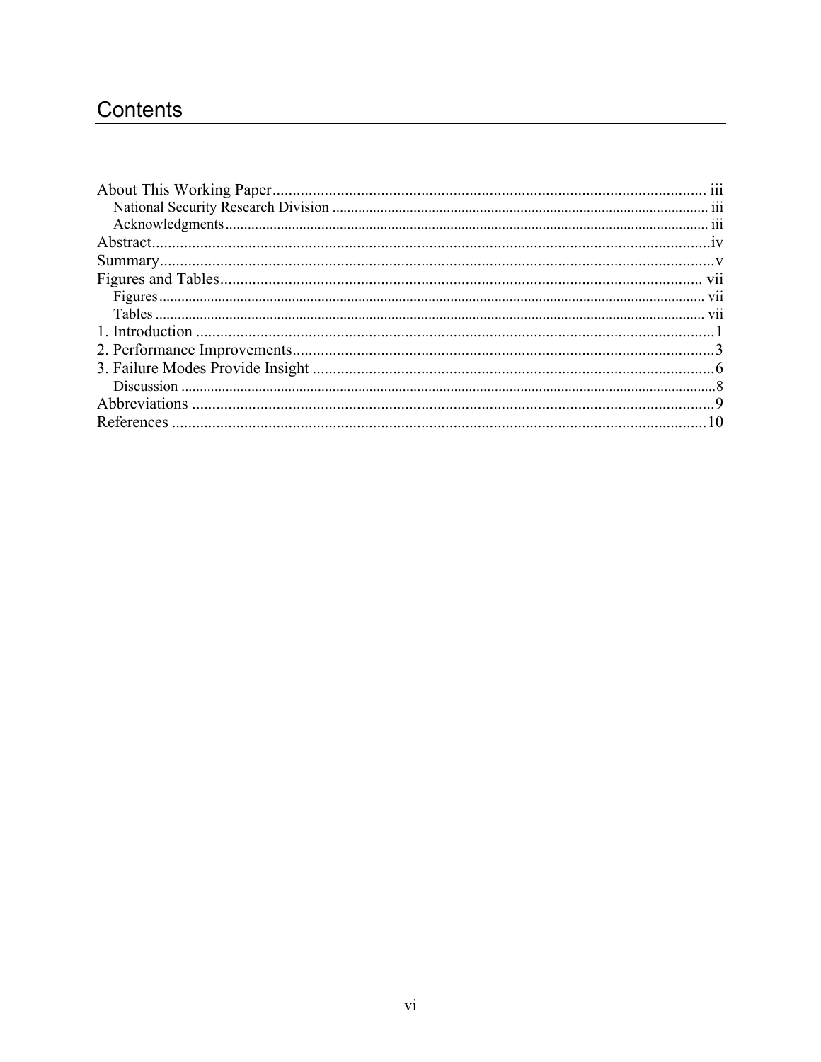## Contents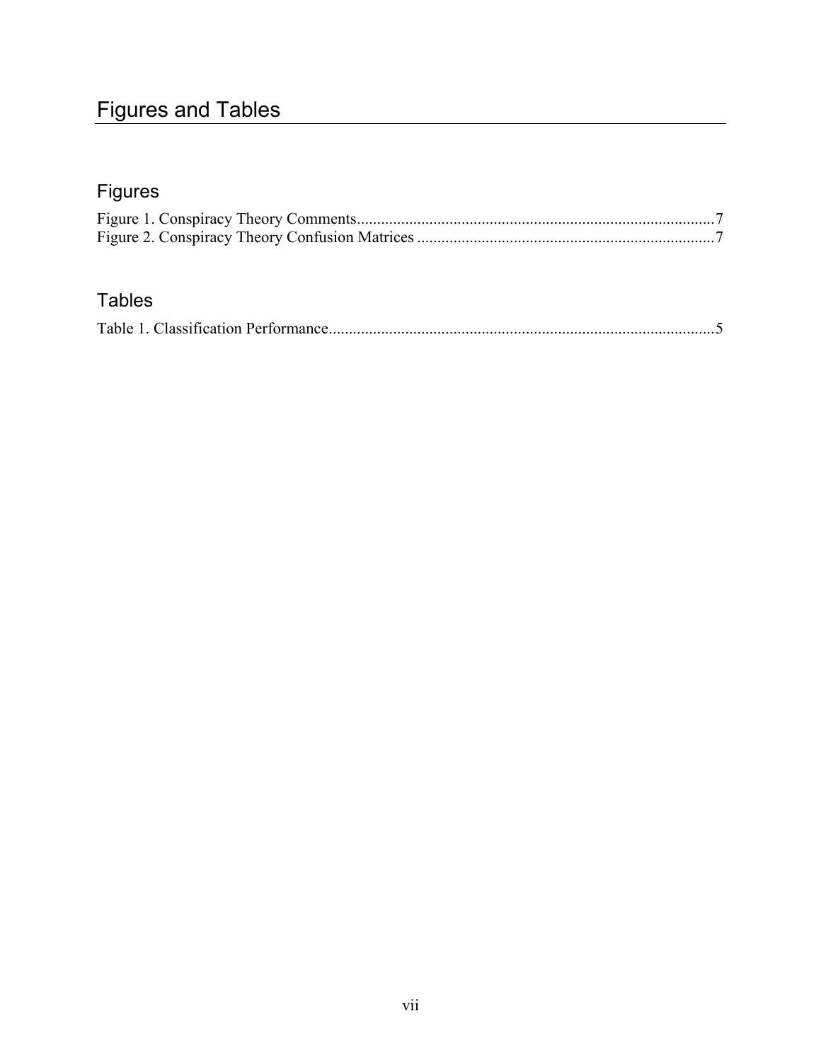## Figures and Tables

## Figures

## Tables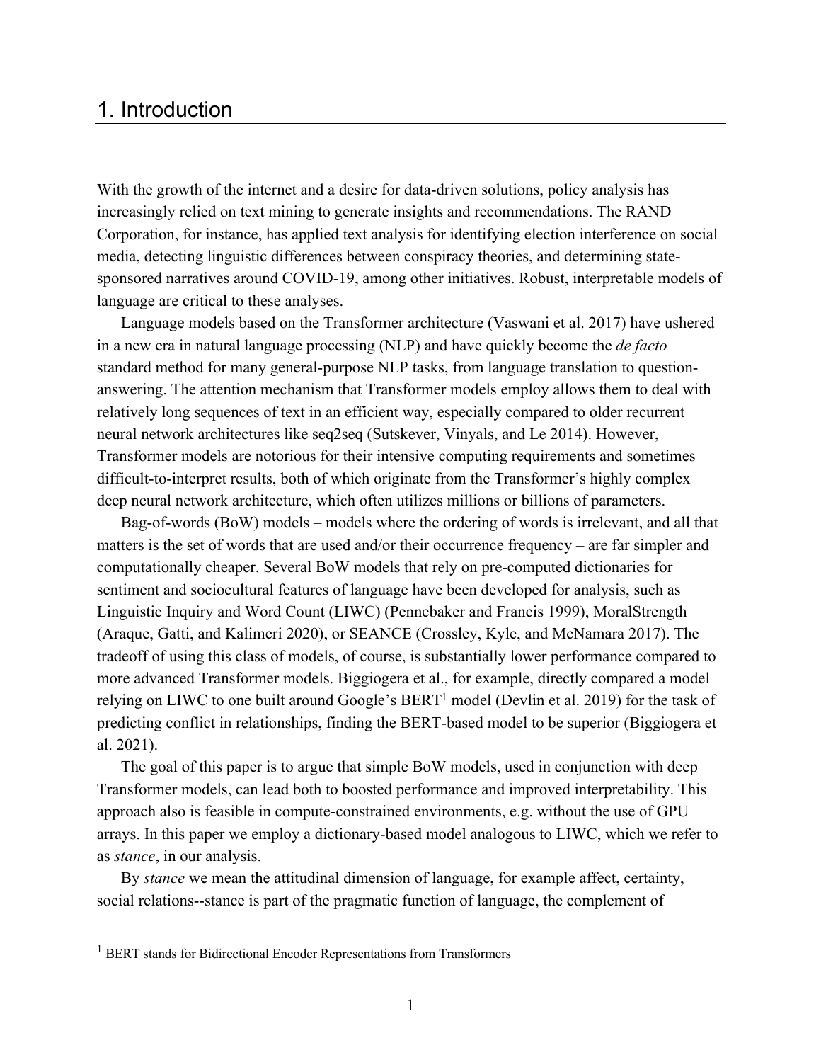### 1. Introduction

With the growth of the internet and a desire for data-driven solutions, policy analysis has increasingly relied on text mining to generate insights and recommendations. The RAND Corporation, for instance, has applied text analysis for identifying election interference on social media, detecting linguistic differences between conspiracy theories, and determining statesponsored narratives around COVID-19, among other initiatives. Robust, interpretable models of language are critical to these analyses.

Language models based on the Transformer architecture (Vaswani et al. 2017) have ushered in a new era in natural language processing (NLP) and have quickly become the *de facto*  standard method for many general-purpose NLP tasks, from language translation to questionanswering. The attention mechanism that Transformer models employ allows them to deal with relatively long sequences of text in an efficient way, especially compared to older recurrent neural network architectures like seq2seq (Sutskever, Vinyals, and Le 2014). However, Transformer models are notorious for their intensive computing requirements and sometimes difficult-to-interpret results, both of which originate from the Transformer's highly complex deep neural network architecture, which often utilizes millions or billions of parameters.

Bag-of-words (BoW) models – models where the ordering of words is irrelevant, and all that matters is the set of words that are used and/or their occurrence frequency – are far simpler and computationally cheaper. Several BoW models that rely on pre-computed dictionaries for sentiment and sociocultural features of language have been developed for analysis, such as Linguistic Inquiry and Word Count (LIWC) (Pennebaker and Francis 1999), MoralStrength (Araque, Gatti, and Kalimeri 2020), or SEANCE (Crossley, Kyle, and McNamara 2017). The tradeoff of using this class of models, of course, is substantially lower performance compared to more advanced Transformer models. Biggiogera et al., for example, directly compared a model relying on LIWC to one built around Google's BERT<sup>1</sup> model (Devlin et al. 2019) for the task of predicting conflict in relationships, finding the BERT-based model to be superior (Biggiogera et al. 2021).

The goal of this paper is to argue that simple BoW models, used in conjunction with deep Transformer models, can lead both to boosted performance and improved interpretability. This approach also is feasible in compute-constrained environments, e.g. without the use of GPU arrays. In this paper we employ a dictionary-based model analogous to LIWC, which we refer to as *stance*, in our analysis.

By *stance* we mean the attitudinal dimension of language, for example affect, certainty, social relations--stance is part of the pragmatic function of language, the complement of

<sup>&</sup>lt;sup>1</sup> BERT stands for Bidirectional Encoder Representations from Transformers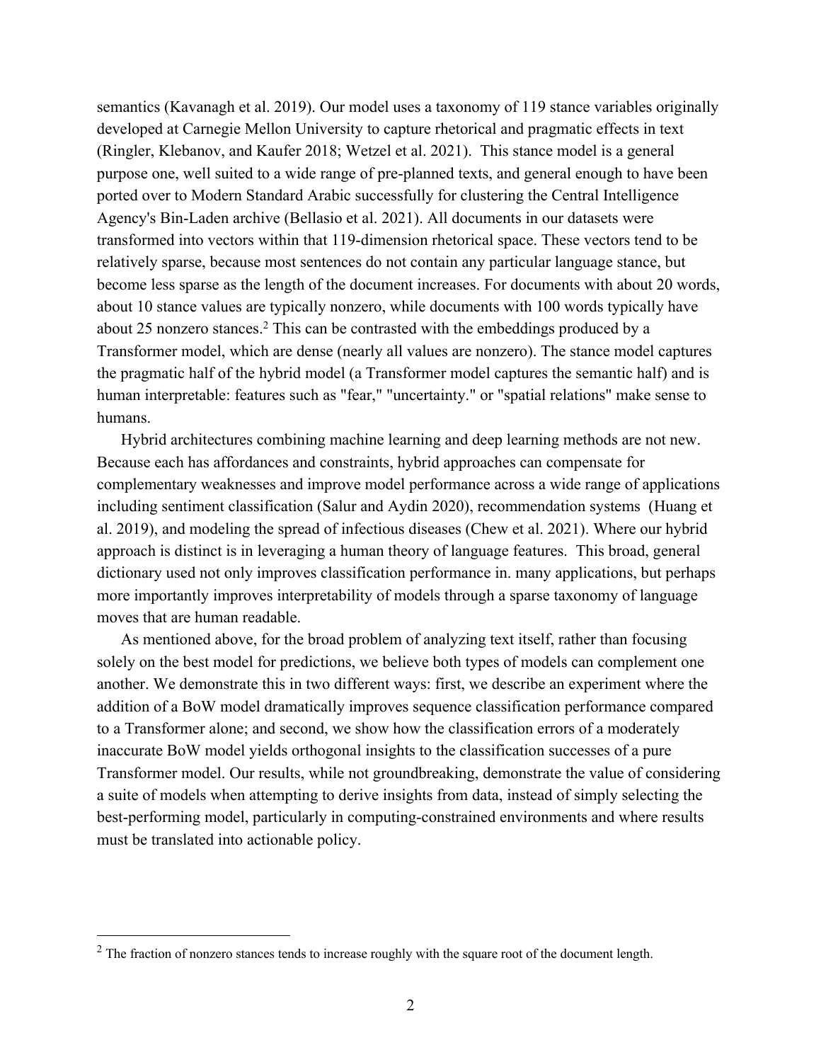semantics (Kavanagh et al. 2019). Our model uses a taxonomy of 119 stance variables originally developed at Carnegie Mellon University to capture rhetorical and pragmatic effects in text (Ringler, Klebanov, and Kaufer 2018; Wetzel et al. 2021). This stance model is a general purpose one, well suited to a wide range of pre-planned texts, and general enough to have been ported over to Modern Standard Arabic successfully for clustering the Central Intelligence Agency's Bin-Laden archive (Bellasio et al. 2021). All documents in our datasets were transformed into vectors within that 119-dimension rhetorical space. These vectors tend to be relatively sparse, because most sentences do not contain any particular language stance, but become less sparse as the length of the document increases. For documents with about 20 words, about 10 stance values are typically nonzero, while documents with 100 words typically have about 25 nonzero stances.<sup>2</sup> This can be contrasted with the embeddings produced by a Transformer model, which are dense (nearly all values are nonzero). The stance model captures the pragmatic half of the hybrid model (a Transformer model captures the semantic half) and is human interpretable: features such as "fear," "uncertainty." or "spatial relations" make sense to humans.

Hybrid architectures combining machine learning and deep learning methods are not new. Because each has affordances and constraints, hybrid approaches can compensate for complementary weaknesses and improve model performance across a wide range of applications including sentiment classification (Salur and Aydin 2020), recommendation systems (Huang et al. 2019), and modeling the spread of infectious diseases (Chew et al. 2021). Where our hybrid approach is distinct is in leveraging a human theory of language features. This broad, general dictionary used not only improves classification performance in. many applications, but perhaps more importantly improves interpretability of models through a sparse taxonomy of language moves that are human readable.

As mentioned above, for the broad problem of analyzing text itself, rather than focusing solely on the best model for predictions, we believe both types of models can complement one another. We demonstrate this in two different ways: first, we describe an experiment where the addition of a BoW model dramatically improves sequence classification performance compared to a Transformer alone; and second, we show how the classification errors of a moderately inaccurate BoW model yields orthogonal insights to the classification successes of a pure Transformer model. Our results, while not groundbreaking, demonstrate the value of considering a suite of models when attempting to derive insights from data, instead of simply selecting the best-performing model, particularly in computing-constrained environments and where results must be translated into actionable policy.

<sup>&</sup>lt;sup>2</sup> The fraction of nonzero stances tends to increase roughly with the square root of the document length.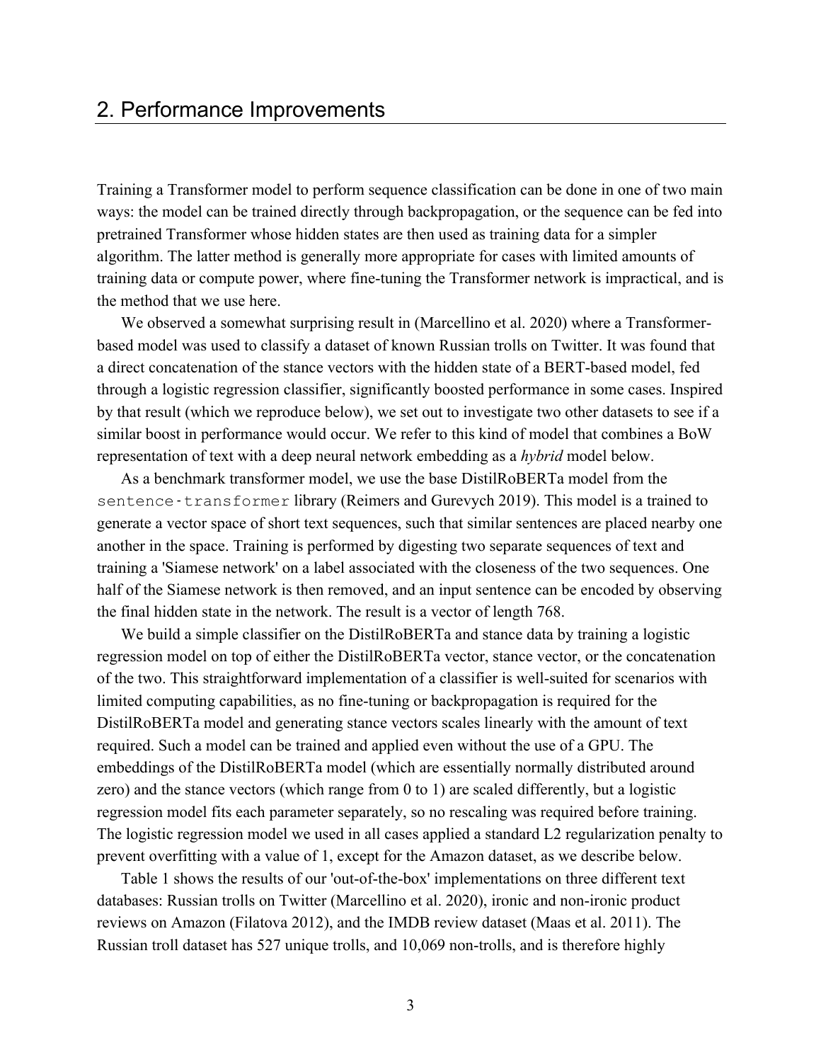### 2. Performance Improvements

Training a Transformer model to perform sequence classification can be done in one of two main ways: the model can be trained directly through backpropagation, or the sequence can be fed into pretrained Transformer whose hidden states are then used as training data for a simpler algorithm. The latter method is generally more appropriate for cases with limited amounts of training data or compute power, where fine-tuning the Transformer network is impractical, and is the method that we use here.

We observed a somewhat surprising result in (Marcellino et al. 2020) where a Transformerbased model was used to classify a dataset of known Russian trolls on Twitter. It was found that a direct concatenation of the stance vectors with the hidden state of a BERT-based model, fed through a logistic regression classifier, significantly boosted performance in some cases. Inspired by that result (which we reproduce below), we set out to investigate two other datasets to see if a similar boost in performance would occur. We refer to this kind of model that combines a BoW representation of text with a deep neural network embedding as a *hybrid* model below.

As a benchmark transformer model, we use the base DistilRoBERTa model from the sentence-transformer library (Reimers and Gurevych 2019). This model is a trained to generate a vector space of short text sequences, such that similar sentences are placed nearby one another in the space. Training is performed by digesting two separate sequences of text and training a 'Siamese network' on a label associated with the closeness of the two sequences. One half of the Siamese network is then removed, and an input sentence can be encoded by observing the final hidden state in the network. The result is a vector of length 768.

We build a simple classifier on the DistilRoBERTa and stance data by training a logistic regression model on top of either the DistilRoBERTa vector, stance vector, or the concatenation of the two. This straightforward implementation of a classifier is well-suited for scenarios with limited computing capabilities, as no fine-tuning or backpropagation is required for the DistilRoBERTa model and generating stance vectors scales linearly with the amount of text required. Such a model can be trained and applied even without the use of a GPU. The embeddings of the DistilRoBERTa model (which are essentially normally distributed around zero) and the stance vectors (which range from 0 to 1) are scaled differently, but a logistic regression model fits each parameter separately, so no rescaling was required before training. The logistic regression model we used in all cases applied a standard L2 regularization penalty to prevent overfitting with a value of 1, except for the Amazon dataset, as we describe below.

Table 1 shows the results of our 'out-of-the-box' implementations on three different text databases: Russian trolls on Twitter (Marcellino et al. 2020), ironic and non-ironic product reviews on Amazon (Filatova 2012), and the IMDB review dataset (Maas et al. 2011). The Russian troll dataset has 527 unique trolls, and 10,069 non-trolls, and is therefore highly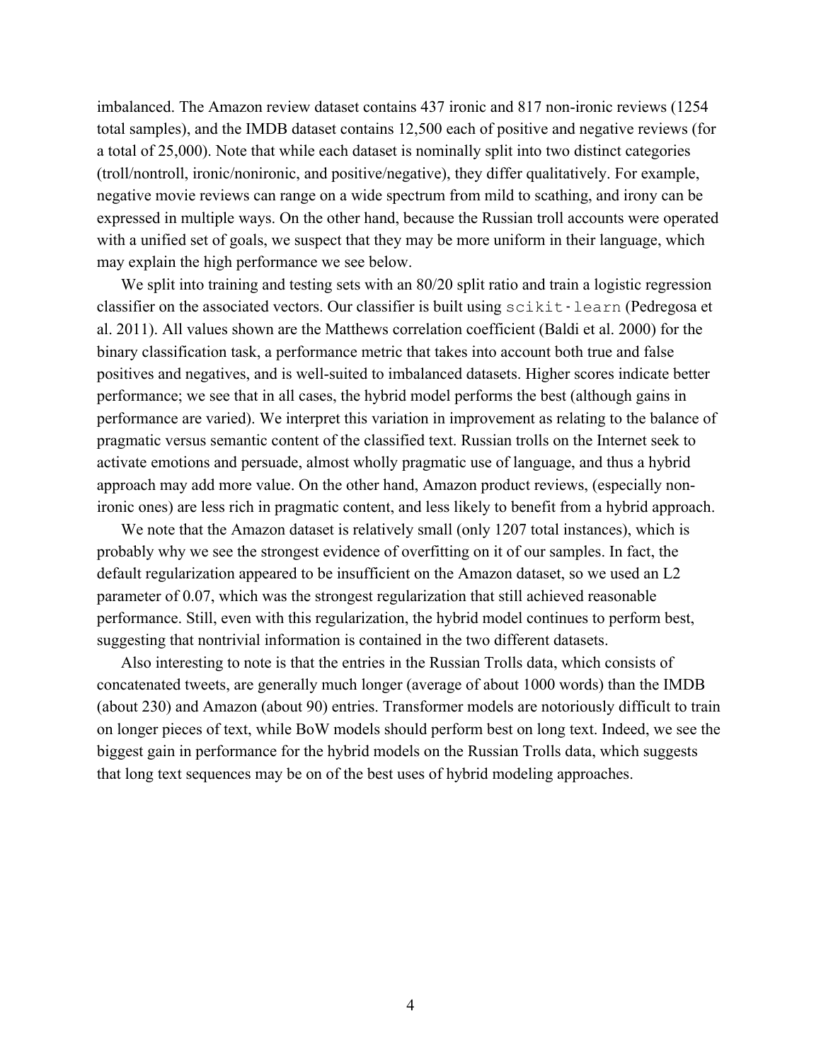imbalanced. The Amazon review dataset contains 437 ironic and 817 non-ironic reviews (1254 total samples), and the IMDB dataset contains 12,500 each of positive and negative reviews (for a total of 25,000). Note that while each dataset is nominally split into two distinct categories (troll/nontroll, ironic/nonironic, and positive/negative), they differ qualitatively. For example, negative movie reviews can range on a wide spectrum from mild to scathing, and irony can be expressed in multiple ways. On the other hand, because the Russian troll accounts were operated with a unified set of goals, we suspect that they may be more uniform in their language, which may explain the high performance we see below.

We split into training and testing sets with an 80/20 split ratio and train a logistic regression classifier on the associated vectors. Our classifier is built using scikit-learn (Pedregosa et al. 2011). All values shown are the Matthews correlation coefficient (Baldi et al. 2000) for the binary classification task, a performance metric that takes into account both true and false positives and negatives, and is well-suited to imbalanced datasets. Higher scores indicate better performance; we see that in all cases, the hybrid model performs the best (although gains in performance are varied). We interpret this variation in improvement as relating to the balance of pragmatic versus semantic content of the classified text. Russian trolls on the Internet seek to activate emotions and persuade, almost wholly pragmatic use of language, and thus a hybrid approach may add more value. On the other hand, Amazon product reviews, (especially nonironic ones) are less rich in pragmatic content, and less likely to benefit from a hybrid approach.

We note that the Amazon dataset is relatively small (only 1207 total instances), which is probably why we see the strongest evidence of overfitting on it of our samples. In fact, the default regularization appeared to be insufficient on the Amazon dataset, so we used an L2 parameter of 0.07, which was the strongest regularization that still achieved reasonable performance. Still, even with this regularization, the hybrid model continues to perform best, suggesting that nontrivial information is contained in the two different datasets.

Also interesting to note is that the entries in the Russian Trolls data, which consists of concatenated tweets, are generally much longer (average of about 1000 words) than the IMDB (about 230) and Amazon (about 90) entries. Transformer models are notoriously difficult to train on longer pieces of text, while BoW models should perform best on long text. Indeed, we see the biggest gain in performance for the hybrid models on the Russian Trolls data, which suggests that long text sequences may be on of the best uses of hybrid modeling approaches.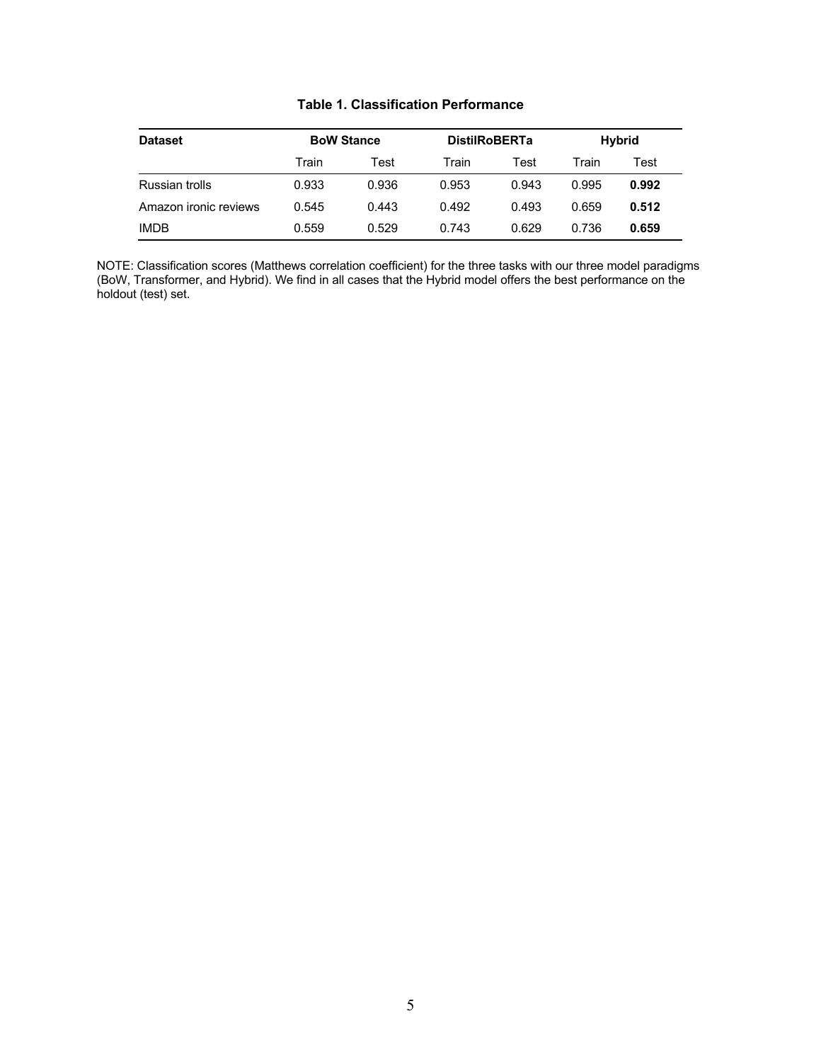| <b>Dataset</b>        | <b>BoW Stance</b> |       | <b>DistilRoBERTa</b> |       | Hybrid |       |
|-----------------------|-------------------|-------|----------------------|-------|--------|-------|
|                       | Train             | Test  | Train                | Test  | Train  | Test  |
| Russian trolls        | 0.933             | 0.936 | 0.953                | 0.943 | 0.995  | 0.992 |
| Amazon ironic reviews | 0.545             | 0.443 | 0.492                | 0.493 | 0.659  | 0.512 |
| <b>IMDB</b>           | 0.559             | 0.529 | 0.743                | 0.629 | 0.736  | 0.659 |

### **Table 1. Classification Performance**

NOTE: Classification scores (Matthews correlation coefficient) for the three tasks with our three model paradigms (BoW, Transformer, and Hybrid). We find in all cases that the Hybrid model offers the best performance on the holdout (test) set.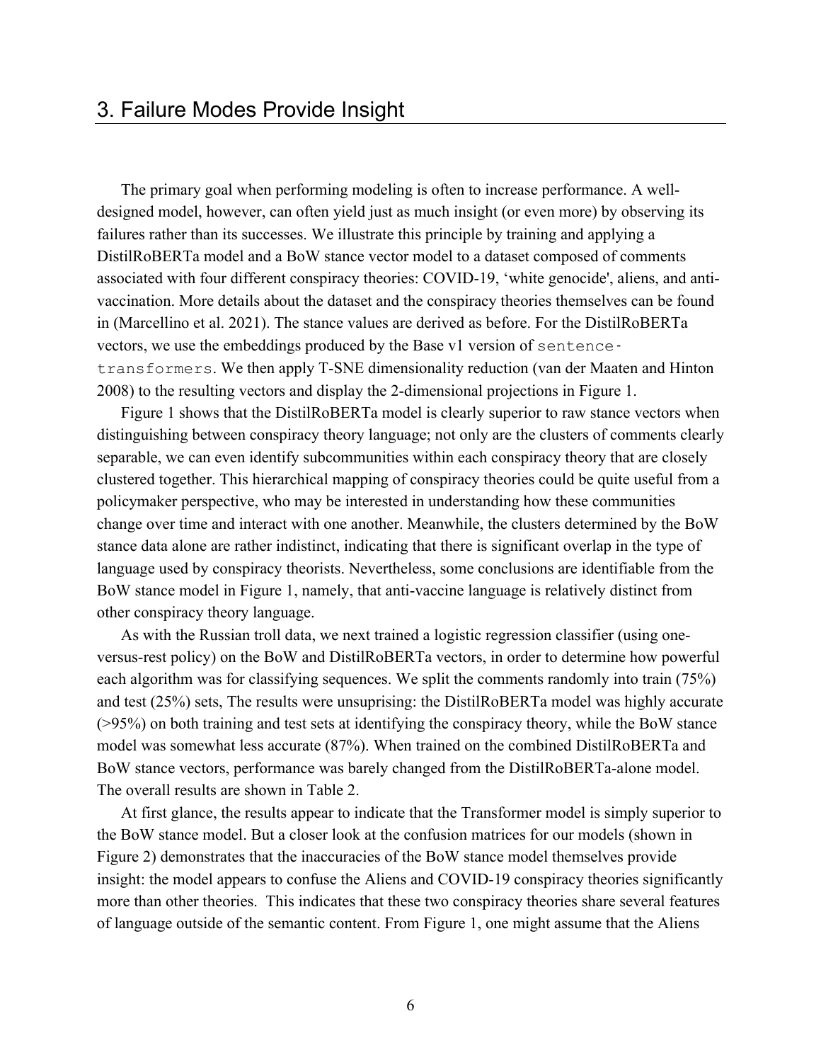The primary goal when performing modeling is often to increase performance. A welldesigned model, however, can often yield just as much insight (or even more) by observing its failures rather than its successes. We illustrate this principle by training and applying a DistilRoBERTa model and a BoW stance vector model to a dataset composed of comments associated with four different conspiracy theories: COVID-19, 'white genocide', aliens, and antivaccination. More details about the dataset and the conspiracy theories themselves can be found in (Marcellino et al. 2021). The stance values are derived as before. For the DistilRoBERTa vectors, we use the embeddings produced by the Base v1 version of sentencetransformers. We then apply T-SNE dimensionality reduction (van der Maaten and Hinton 2008) to the resulting vectors and display the 2-dimensional projections in Figure 1.

Figure 1 shows that the DistilRoBERTa model is clearly superior to raw stance vectors when distinguishing between conspiracy theory language; not only are the clusters of comments clearly separable, we can even identify subcommunities within each conspiracy theory that are closely clustered together. This hierarchical mapping of conspiracy theories could be quite useful from a policymaker perspective, who may be interested in understanding how these communities change over time and interact with one another. Meanwhile, the clusters determined by the BoW stance data alone are rather indistinct, indicating that there is significant overlap in the type of language used by conspiracy theorists. Nevertheless, some conclusions are identifiable from the BoW stance model in Figure 1, namely, that anti-vaccine language is relatively distinct from other conspiracy theory language.

As with the Russian troll data, we next trained a logistic regression classifier (using oneversus-rest policy) on the BoW and DistilRoBERTa vectors, in order to determine how powerful each algorithm was for classifying sequences. We split the comments randomly into train (75%) and test (25%) sets, The results were unsuprising: the DistilRoBERTa model was highly accurate (>95%) on both training and test sets at identifying the conspiracy theory, while the BoW stance model was somewhat less accurate (87%). When trained on the combined DistilRoBERTa and BoW stance vectors, performance was barely changed from the DistilRoBERTa-alone model. The overall results are shown in Table 2.

At first glance, the results appear to indicate that the Transformer model is simply superior to the BoW stance model. But a closer look at the confusion matrices for our models (shown in Figure 2) demonstrates that the inaccuracies of the BoW stance model themselves provide insight: the model appears to confuse the Aliens and COVID-19 conspiracy theories significantly more than other theories. This indicates that these two conspiracy theories share several features of language outside of the semantic content. From Figure 1, one might assume that the Aliens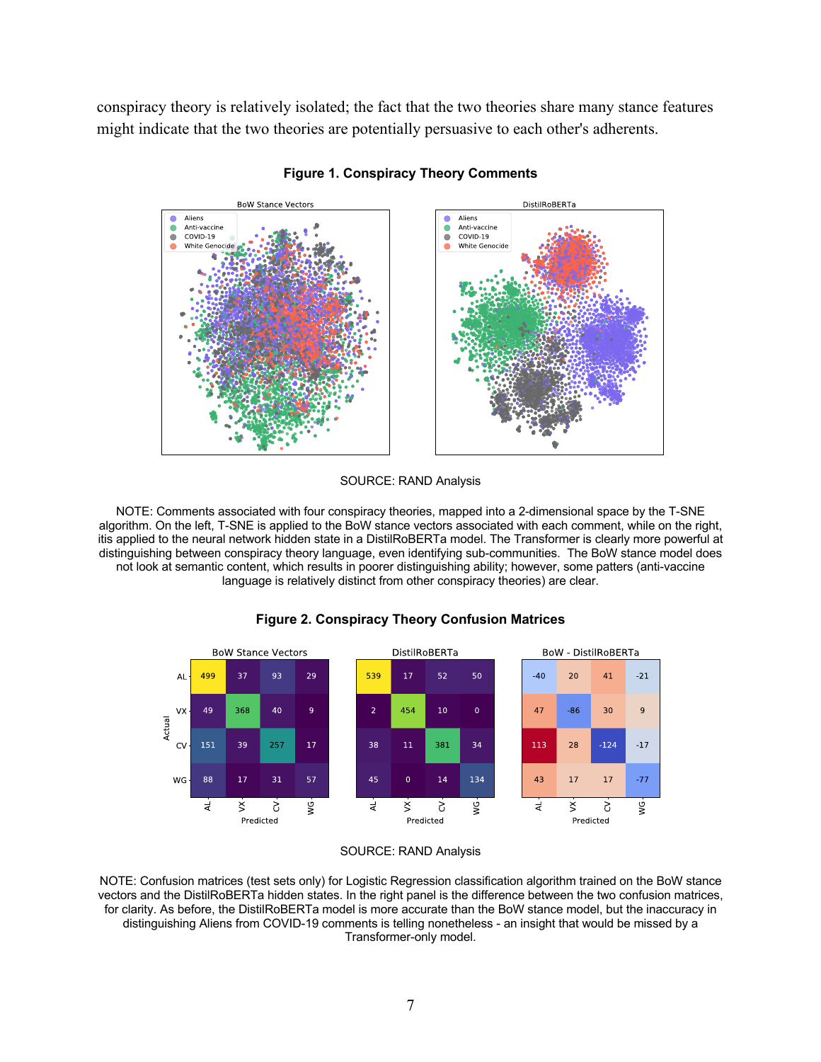conspiracy theory is relatively isolated; the fact that the two theories share many stance features might indicate that the two theories are potentially persuasive to each other's adherents.



**Figure 1. Conspiracy Theory Comments**

#### SOURCE: RAND Analysis

NOTE: Comments associated with four conspiracy theories, mapped into a 2-dimensional space by the T-SNE algorithm. On the left, T-SNE is applied to the BoW stance vectors associated with each comment, while on the right, itis applied to the neural network hidden state in a DistilRoBERTa model. The Transformer is clearly more powerful at distinguishing between conspiracy theory language, even identifying sub-communities. The BoW stance model does not look at semantic content, which results in poorer distinguishing ability; however, some patters (anti-vaccine language is relatively distinct from other conspiracy theories) are clear.



#### **Figure 2. Conspiracy Theory Confusion Matrices**



NOTE: Confusion matrices (test sets only) for Logistic Regression classification algorithm trained on the BoW stance vectors and the DistilRoBERTa hidden states. In the right panel is the difference between the two confusion matrices, for clarity. As before, the DistilRoBERTa model is more accurate than the BoW stance model, but the inaccuracy in distinguishing Aliens from COVID-19 comments is telling nonetheless - an insight that would be missed by a Transformer-only model.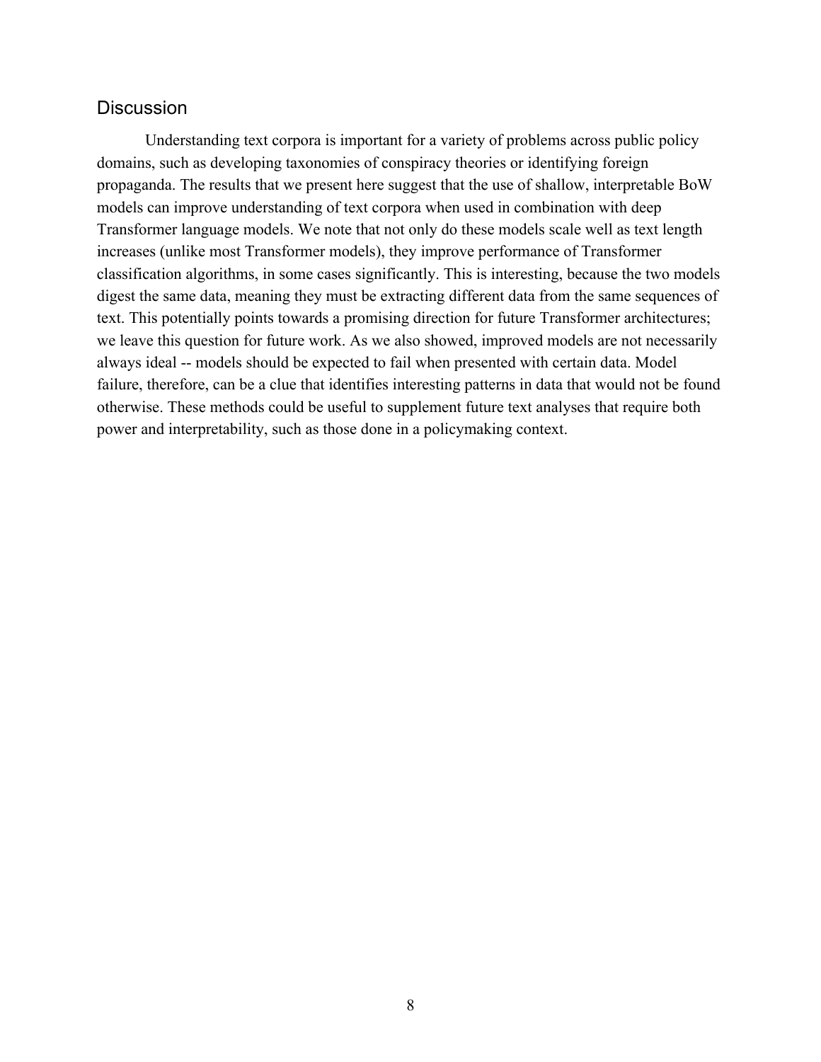### **Discussion**

Understanding text corpora is important for a variety of problems across public policy domains, such as developing taxonomies of conspiracy theories or identifying foreign propaganda. The results that we present here suggest that the use of shallow, interpretable BoW models can improve understanding of text corpora when used in combination with deep Transformer language models. We note that not only do these models scale well as text length increases (unlike most Transformer models), they improve performance of Transformer classification algorithms, in some cases significantly. This is interesting, because the two models digest the same data, meaning they must be extracting different data from the same sequences of text. This potentially points towards a promising direction for future Transformer architectures; we leave this question for future work. As we also showed, improved models are not necessarily always ideal -- models should be expected to fail when presented with certain data. Model failure, therefore, can be a clue that identifies interesting patterns in data that would not be found otherwise. These methods could be useful to supplement future text analyses that require both power and interpretability, such as those done in a policymaking context.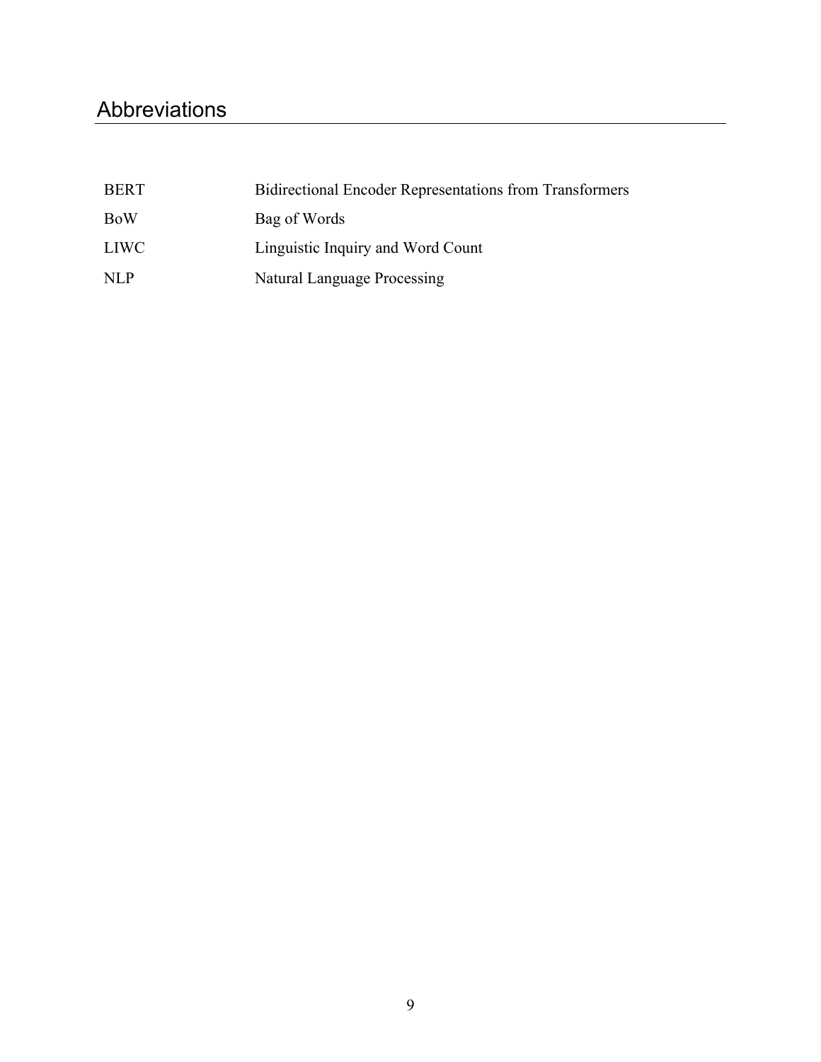## Abbreviations

| <b>BERT</b> | <b>Bidirectional Encoder Representations from Transformers</b> |
|-------------|----------------------------------------------------------------|
| <b>BoW</b>  | Bag of Words                                                   |
| LIWC-       | Linguistic Inquiry and Word Count                              |
| <b>NLP</b>  | Natural Language Processing                                    |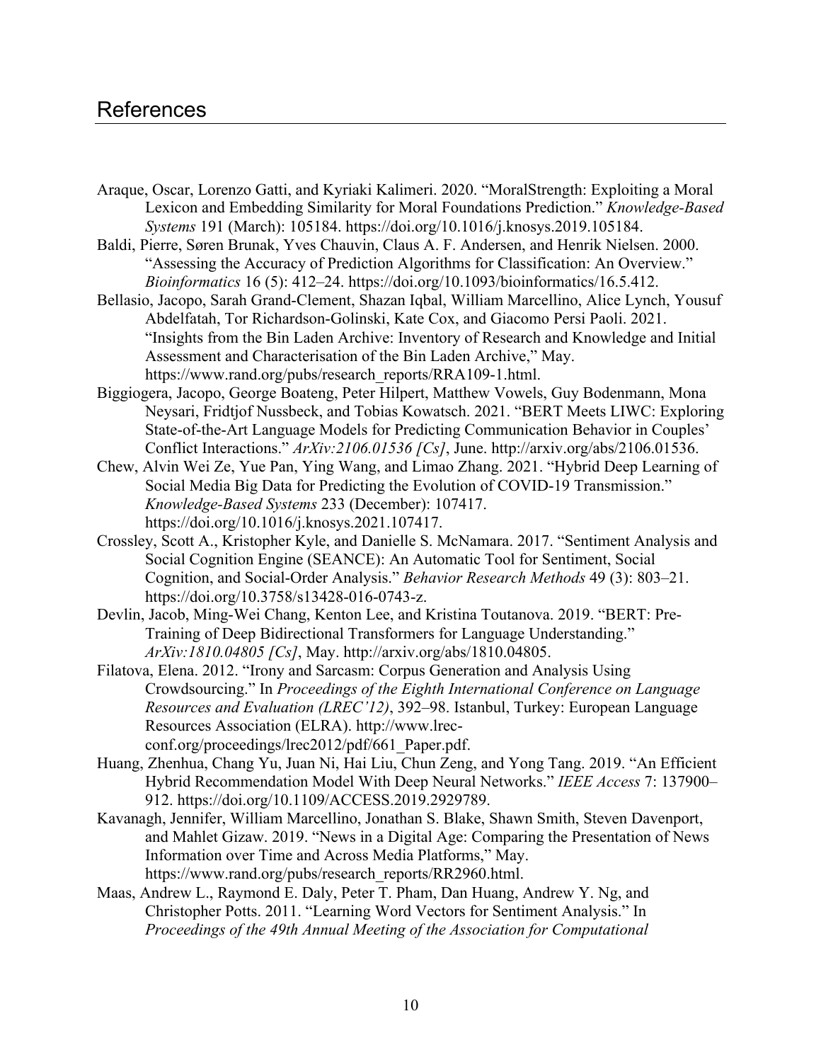### References

- Araque, Oscar, Lorenzo Gatti, and Kyriaki Kalimeri. 2020. "MoralStrength: Exploiting a Moral Lexicon and Embedding Similarity for Moral Foundations Prediction." *Knowledge-Based Systems* 191 (March): 105184. [https://doi.org/10.1016/j.knosys.2019.105184.](https://doi.org/10.1016/j.knosys.2019.105184)
- Baldi, Pierre, Søren Brunak, Yves Chauvin, Claus A. F. Andersen, and Henrik Nielsen. 2000. "Assessing the Accuracy of Prediction Algorithms for Classification: An Overview." *Bioinformatics* 16 (5): 412–24. [https://doi.org/10.1093/bioinformatics/16.5.412.](https://doi.org/10.1093/bioinformatics/16.5.412)
- Bellasio, Jacopo, Sarah Grand-Clement, Shazan Iqbal, William Marcellino, Alice Lynch, Yousuf Abdelfatah, Tor Richardson-Golinski, Kate Cox, and Giacomo Persi Paoli. 2021. "Insights from the Bin Laden Archive: Inventory of Research and Knowledge and Initial Assessment and Characterisation of the Bin Laden Archive," May. [https://www.rand.org/pubs/research\\_reports/RRA109-1.html.](https://www.rand.org/pubs/research_reports/RRA109-1.html)
- Biggiogera, Jacopo, George Boateng, Peter Hilpert, Matthew Vowels, Guy Bodenmann, Mona Neysari, Fridtjof Nussbeck, and Tobias Kowatsch. 2021. "BERT Meets LIWC: Exploring State-of-the-Art Language Models for Predicting Communication Behavior in Couples' Conflict Interactions." *ArXiv:2106.01536 [Cs]*, June. [http://arxiv.org/abs/2106.01536.](http://arxiv.org/abs/2106.01536)
- Chew, Alvin Wei Ze, Yue Pan, Ying Wang, and Limao Zhang. 2021. "Hybrid Deep Learning of Social Media Big Data for Predicting the Evolution of COVID-19 Transmission." *Knowledge-Based Systems* 233 (December): 107417. [https://doi.org/10.1016/j.knosys.2021.107417.](https://doi.org/10.1016/j.knosys.2021.107417)
- Crossley, Scott A., Kristopher Kyle, and Danielle S. McNamara. 2017. "Sentiment Analysis and Social Cognition Engine (SEANCE): An Automatic Tool for Sentiment, Social Cognition, and Social-Order Analysis." *Behavior Research Methods* 49 (3): 803–21. [https://doi.org/10.3758/s13428-016-0743-z.](https://doi.org/10.3758/s13428-016-0743-z)
- Devlin, Jacob, Ming-Wei Chang, Kenton Lee, and Kristina Toutanova. 2019. "BERT: Pre-Training of Deep Bidirectional Transformers for Language Understanding." *ArXiv:1810.04805 [Cs]*, May.<http://arxiv.org/abs/1810.04805>.
- Filatova, Elena. 2012. "Irony and Sarcasm: Corpus Generation and Analysis Using Crowdsourcing." In *Proceedings of the Eighth International Conference on Language Resources and Evaluation (LREC'12)*, 392–98. Istanbul, Turkey: European Language Resources Association (ELRA). [http://www.lrec](http://www.lrec-conf.org/proceedings/lrec2012/pdf/661_Paper.pdf)[conf.org/proceedings/lrec2012/pdf/661\\_Paper.pdf.](http://www.lrec-conf.org/proceedings/lrec2012/pdf/661_Paper.pdf)
- Huang, Zhenhua, Chang Yu, Juan Ni, Hai Liu, Chun Zeng, and Yong Tang. 2019. "An Efficient Hybrid Recommendation Model With Deep Neural Networks." *IEEE Access* 7: 137900– 912. [https://doi.org/10.1109/ACCESS.2019.2929789.](https://doi.org/10.1109/ACCESS.2019.2929789)
- Kavanagh, Jennifer, William Marcellino, Jonathan S. Blake, Shawn Smith, Steven Davenport, and Mahlet Gizaw. 2019. "News in a Digital Age: Comparing the Presentation of News Information over Time and Across Media Platforms," May. [https://www.rand.org/pubs/research\\_reports/RR2960.html.](https://www.rand.org/pubs/research_reports/RR2960.html)
- Maas, Andrew L., Raymond E. Daly, Peter T. Pham, Dan Huang, Andrew Y. Ng, and Christopher Potts. 2011. "Learning Word Vectors for Sentiment Analysis." In *Proceedings of the 49th Annual Meeting of the Association for Computational*